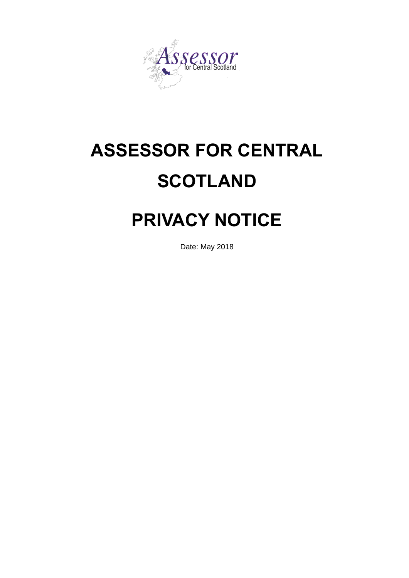

# **ASSESSOR FOR CENTRAL SCOTLAND**

# **PRIVACY NOTICE**

Date: May 2018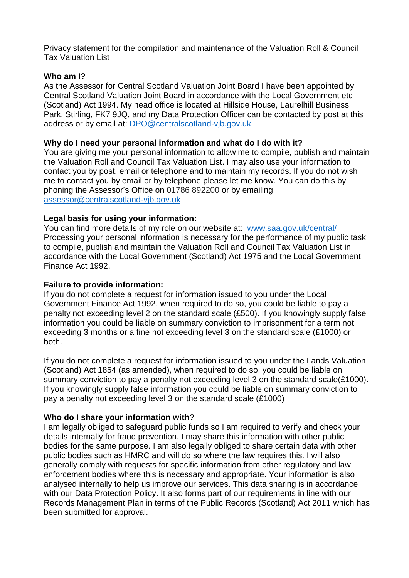Privacy statement for the compilation and maintenance of the Valuation Roll & Council Tax Valuation List

#### **Who am I?**

As the Assessor for Central Scotland Valuation Joint Board I have been appointed by Central Scotland Valuation Joint Board in accordance with the Local Government etc (Scotland) Act 1994. My head office is located at Hillside House, Laurelhill Business Park, Stirling, FK7 9JQ, and my Data Protection Officer can be contacted by post at this address or by email at: [DPO@centralscotland-vjb.gov.uk](mailto:DPO@centralscotland-vjb.gov.uk)

#### **Why do I need your personal information and what do I do with it?**

You are giving me your personal information to allow me to compile, publish and maintain the Valuation Roll and Council Tax Valuation List. I may also use your information to contact you by post, email or telephone and to maintain my records. If you do not wish me to contact you by email or by telephone please let me know. You can do this by phoning the Assessor's Office on 01786 892200 or by emailing [assessor@centralscotland-vjb.gov.uk](mailto:assessor@centralscotland-vjb.gov.uk)

#### **Legal basis for using your information:**

You can find more details of my role on our website at: [www.saa.gov.uk/central/](http://www.saa.gov.uk/central/) Processing your personal information is necessary for the performance of my public task to compile, publish and maintain the Valuation Roll and Council Tax Valuation List in accordance with the Local Government (Scotland) Act 1975 and the Local Government Finance Act 1992.

#### **Failure to provide information:**

If you do not complete a request for information issued to you under the Local Government Finance Act 1992, when required to do so, you could be liable to pay a penalty not exceeding level 2 on the standard scale (£500). If you knowingly supply false information you could be liable on summary conviction to imprisonment for a term not exceeding 3 months or a fine not exceeding level 3 on the standard scale (£1000) or both.

If you do not complete a request for information issued to you under the Lands Valuation (Scotland) Act 1854 (as amended), when required to do so, you could be liable on summary conviction to pay a penalty not exceeding level 3 on the standard scale(£1000). If you knowingly supply false information you could be liable on summary conviction to pay a penalty not exceeding level 3 on the standard scale (£1000)

## **Who do I share your information with?**

I am legally obliged to safeguard public funds so I am required to verify and check your details internally for fraud prevention. I may share this information with other public bodies for the same purpose. I am also legally obliged to share certain data with other public bodies such as HMRC and will do so where the law requires this. I will also generally comply with requests for specific information from other regulatory and law enforcement bodies where this is necessary and appropriate. Your information is also analysed internally to help us improve our services. This data sharing is in accordance with our Data Protection Policy. It also forms part of our requirements in line with our Records Management Plan in terms of the Public Records (Scotland) Act 2011 which has been submitted for approval.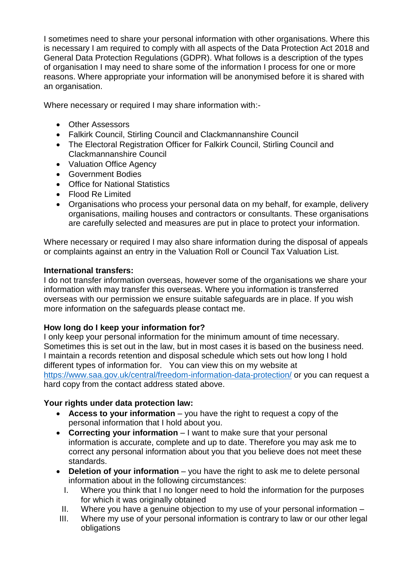I sometimes need to share your personal information with other organisations. Where this is necessary I am required to comply with all aspects of the Data Protection Act 2018 and General Data Protection Regulations (GDPR). What follows is a description of the types of organisation I may need to share some of the information I process for one or more reasons. Where appropriate your information will be anonymised before it is shared with an organisation.

Where necessary or required I may share information with:-

- Other Assessors
- Falkirk Council, Stirling Council and Clackmannanshire Council
- The Electoral Registration Officer for Falkirk Council, Stirling Council and Clackmannanshire Council
- Valuation Office Agency
- Government Bodies
- Office for National Statistics
- Flood Re Limited
- Organisations who process your personal data on my behalf, for example, delivery organisations, mailing houses and contractors or consultants. These organisations are carefully selected and measures are put in place to protect your information.

Where necessary or required I may also share information during the disposal of appeals or complaints against an entry in the Valuation Roll or Council Tax Valuation List.

#### **International transfers:**

I do not transfer information overseas, however some of the organisations we share your information with may transfer this overseas. Where you information is transferred overseas with our permission we ensure suitable safeguards are in place. If you wish more information on the safeguards please contact me.

#### **How long do I keep your information for?**

I only keep your personal information for the minimum amount of time necessary. Sometimes this is set out in the law, but in most cases it is based on the business need. I maintain a records retention and disposal schedule which sets out how long I hold different types of information for. You can view this on my website at <https://www.saa.gov.uk/central/freedom-information-data-protection/> or you can request a hard copy from the contact address stated above.

## **Your rights under data protection law:**

- **Access to your information** you have the right to request a copy of the personal information that I hold about you.
- **Correcting your information** I want to make sure that your personal information is accurate, complete and up to date. Therefore you may ask me to correct any personal information about you that you believe does not meet these standards.
- **Deletion of your information** you have the right to ask me to delete personal information about in the following circumstances:
	- I. Where you think that I no longer need to hold the information for the purposes for which it was originally obtained
	- II. Where you have a genuine objection to my use of your personal information –
- III. Where my use of your personal information is contrary to law or our other legal obligations